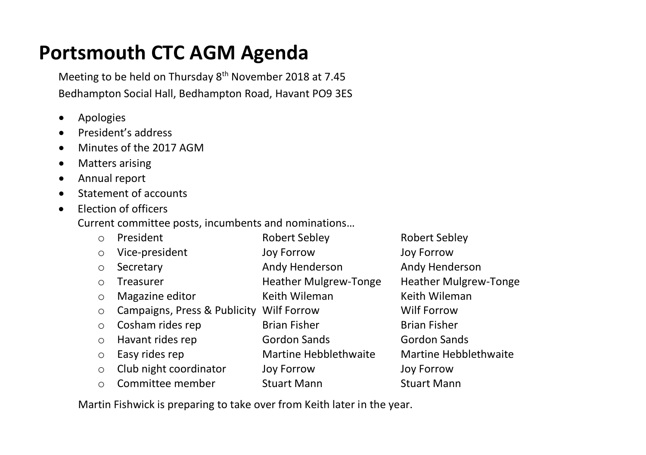## **Portsmouth CTC AGM Agenda**

Meeting to be held on Thursday 8<sup>th</sup> November 2018 at 7.45 Bedhampton Social Hall, Bedhampton Road, Havant PO9 3ES

- Apologies
- President's address
- Minutes of the 2017 AGM
- Matters arising
- Annual report
- Statement of accounts
- Election of officers

Current committee posts, incumbents and nominations…

o President Robert Sebley Robert Sebley o Vice-president Joy Forrow Joy Forrow o Secretary Andy Henderson Andy Henderson o Treasurer **Heather Mulgrew-Tonge** Heather Mulgrew-Tonge o Magazine editor Keith Wileman Keith Wileman o Campaigns, Press & Publicity Wilf Forrow Wilf Forrow o Cosham rides rep Brian Fisher Brian Fisher Brian Fisher o Havant rides rep Gordon Sands Gordon Sands  $\circ$  Easy rides rep **Martine Hebblethwaite** Martine Hebblethwaite o Club night coordinator Joy Forrow Joy Forrow o Committee member Stuart Mann Stuart Mann

Martin Fishwick is preparing to take over from Keith later in the year.